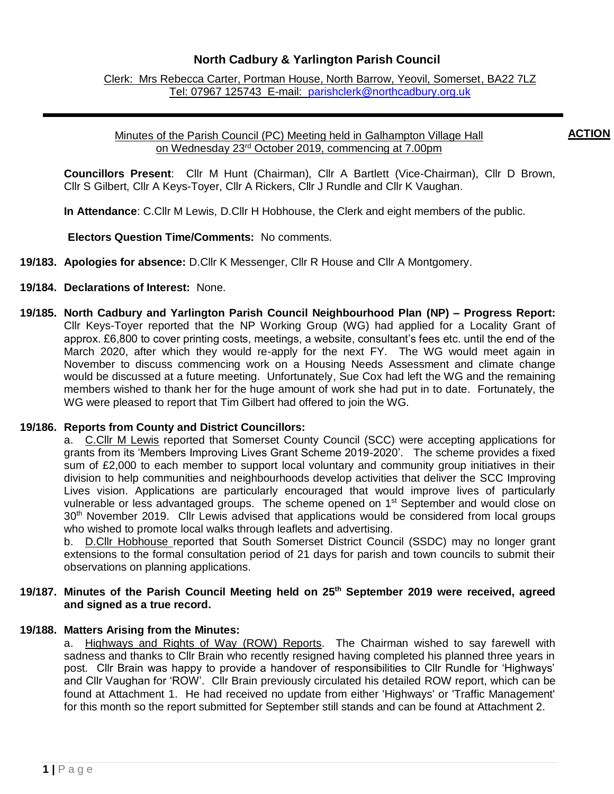# **North Cadbury & Yarlington Parish Council**

Clerk: Mrs Rebecca Carter, Portman House, North Barrow, Yeovil, Somerset, BA22 7LZ Tel: 07967 125743 E-mail: [parishclerk@northcadbury.org.uk](mailto:parishclerk@northcadbury.org.uk)

### Minutes of the Parish Council (PC) Meeting held in Galhampton Village Hall on Wednesday 23<sup>rd</sup> October 2019, commencing at 7.00pm

**ACTION**

**Councillors Present**: Cllr M Hunt (Chairman), Cllr A Bartlett (Vice-Chairman), Cllr D Brown, Cllr S Gilbert, Cllr A Keys-Toyer, Cllr A Rickers, Cllr J Rundle and Cllr K Vaughan.

**In Attendance**: C.Cllr M Lewis, D.Cllr H Hobhouse, the Clerk and eight members of the public.

**Electors Question Time/Comments:** No comments.

- **19/183. Apologies for absence:** D.Cllr K Messenger, Cllr R House and Cllr A Montgomery.
- **19/184. Declarations of Interest:** None.
- **19/185. North Cadbury and Yarlington Parish Council Neighbourhood Plan (NP) – Progress Report:**  Cllr Keys-Toyer reported that the NP Working Group (WG) had applied for a Locality Grant of approx. £6,800 to cover printing costs, meetings, a website, consultant's fees etc. until the end of the March 2020, after which they would re-apply for the next FY. The WG would meet again in November to discuss commencing work on a Housing Needs Assessment and climate change would be discussed at a future meeting. Unfortunately, Sue Cox had left the WG and the remaining members wished to thank her for the huge amount of work she had put in to date. Fortunately, the WG were pleased to report that Tim Gilbert had offered to join the WG.

#### **19/186. Reports from County and District Councillors:**

a. C.Cllr M Lewis reported that Somerset County Council (SCC) were accepting applications for grants from its 'Members Improving Lives Grant Scheme 2019-2020'. The scheme provides a fixed sum of £2,000 to each member to support local voluntary and community group initiatives in their division to help communities and neighbourhoods develop activities that deliver the SCC Improving Lives vision. Applications are particularly encouraged that would improve lives of particularly vulnerable or less advantaged groups. The scheme opened on 1<sup>st</sup> September and would close on 30<sup>th</sup> November 2019. Cllr Lewis advised that applications would be considered from local groups who wished to promote local walks through leaflets and advertising.

b. D.Cllr Hobhouse reported that South Somerset District Council (SSDC) may no longer grant extensions to the formal consultation period of 21 days for parish and town councils to submit their observations on planning applications.

### **19/187. Minutes of the Parish Council Meeting held on 25 th September 2019 were received, agreed and signed as a true record.**

#### **19/188. Matters Arising from the Minutes:**

a. Highways and Rights of Way (ROW) Reports.The Chairman wished to say farewell with sadness and thanks to Cllr Brain who recently resigned having completed his planned three years in post. Cllr Brain was happy to provide a handover of responsibilities to Cllr Rundle for 'Highways' and Cllr Vaughan for 'ROW'. Cllr Brain previously circulated his detailed ROW report, which can be found at Attachment 1. He had received no update from either 'Highways' or 'Traffic Management' for this month so the report submitted for September still stands and can be found at Attachment 2.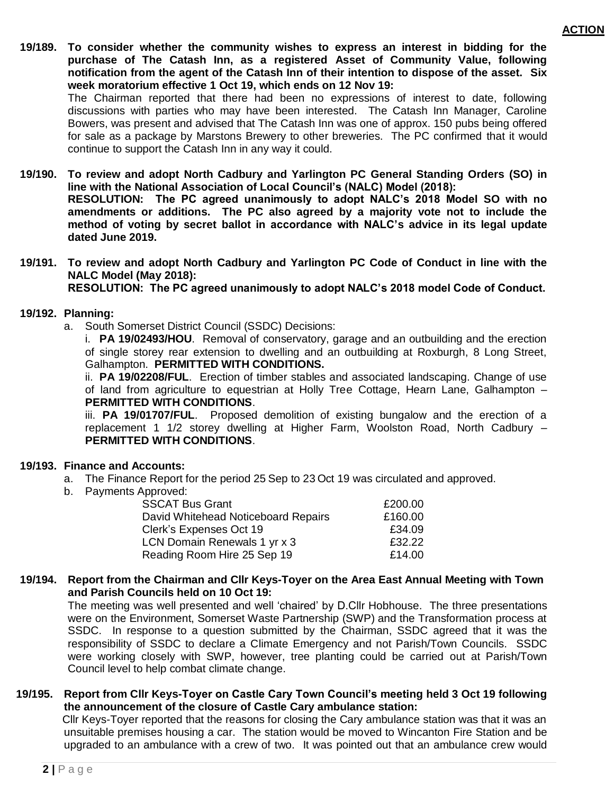**19/189. To consider whether the community wishes to express an interest in bidding for the purchase of The Catash Inn, as a registered Asset of Community Value, following notification from the agent of the Catash Inn of their intention to dispose of the asset. Six week moratorium effective 1 Oct 19, which ends on 12 Nov 19:** 

The Chairman reported that there had been no expressions of interest to date, following discussions with parties who may have been interested. The Catash Inn Manager, Caroline Bowers, was present and advised that The Catash Inn was one of approx. 150 pubs being offered for sale as a package by Marstons Brewery to other breweries. The PC confirmed that it would continue to support the Catash Inn in any way it could.

- **19/190. To review and adopt North Cadbury and Yarlington PC General Standing Orders (SO) in line with the National Association of Local Council's (NALC) Model (2018): RESOLUTION: The PC agreed unanimously to adopt NALC's 2018 Model SO with no amendments or additions. The PC also agreed by a majority vote not to include the method of voting by secret ballot in accordance with NALC's advice in its legal update dated June 2019.**
- **19/191. To review and adopt North Cadbury and Yarlington PC Code of Conduct in line with the NALC Model (May 2018): RESOLUTION: The PC agreed unanimously to adopt NALC's 2018 model Code of Conduct.**

### **19/192. Planning:**

a. South Somerset District Council (SSDC) Decisions:

i. **PA 19/02493/HOU**. Removal of conservatory, garage and an outbuilding and the erection of single storey rear extension to dwelling and an outbuilding at Roxburgh, 8 Long Street, Galhampton. **PERMITTED WITH CONDITIONS.**

ii. **PA 19/02208/FUL**. Erection of timber stables and associated landscaping. Change of use of land from agriculture to equestrian at Holly Tree Cottage, Hearn Lane, Galhampton – **PERMITTED WITH CONDITIONS**.

iii. **PA 19/01707/FUL**. Proposed demolition of existing bungalow and the erection of a replacement 1 1/2 storey dwelling at Higher Farm, Woolston Road, North Cadbury – **PERMITTED WITH CONDITIONS**.

### **19/193. Finance and Accounts:**

- a. The Finance Report for the period 25 Sep to 23 Oct 19 was circulated and approved.
- b. Payments Approved:

| £200.00 |
|---------|
| £160.00 |
| £34.09  |
| £32.22  |
| £14.00  |
|         |

#### **19/194. Report from the Chairman and Cllr Keys-Toyer on the Area East Annual Meeting with Town and Parish Councils held on 10 Oct 19:**

The meeting was well presented and well 'chaired' by D.Cllr Hobhouse. The three presentations were on the Environment, Somerset Waste Partnership (SWP) and the Transformation process at SSDC. In response to a question submitted by the Chairman, SSDC agreed that it was the responsibility of SSDC to declare a Climate Emergency and not Parish/Town Councils. SSDC were working closely with SWP, however, tree planting could be carried out at Parish/Town Council level to help combat climate change.

### **19/195. Report from Cllr Keys-Toyer on Castle Cary Town Council's meeting held 3 Oct 19 following the announcement of the closure of Castle Cary ambulance station:**

 Cllr Keys-Toyer reported that the reasons for closing the Cary ambulance station was that it was an unsuitable premises housing a car. The station would be moved to Wincanton Fire Station and be upgraded to an ambulance with a crew of two. It was pointed out that an ambulance crew would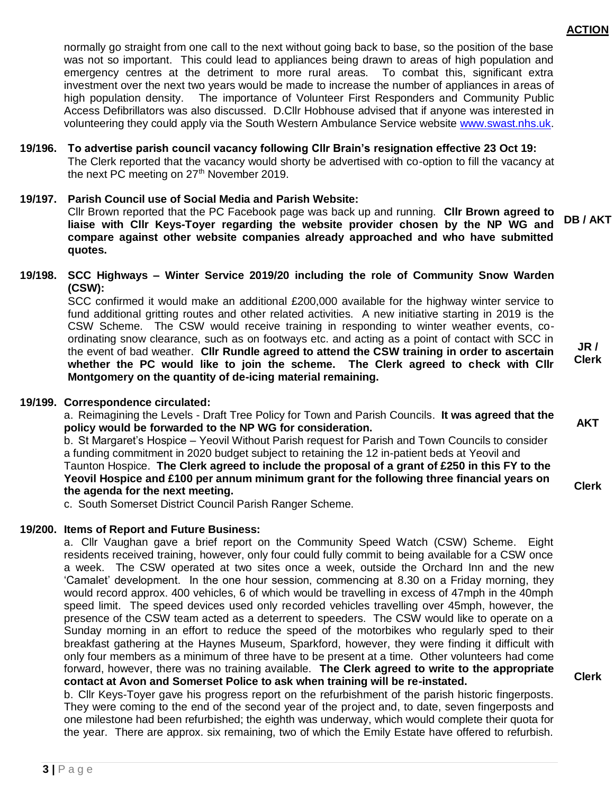**ACTION**

**JR / Clerk**

**AKT**

**Clerk**

normally go straight from one call to the next without going back to base, so the position of the base was not so important. This could lead to appliances being drawn to areas of high population and emergency centres at the detriment to more rural areas. To combat this, significant extra investment over the next two years would be made to increase the number of appliances in areas of high population density. The importance of Volunteer First Responders and Community Public Access Defibrillators was also discussed. D.Cllr Hobhouse advised that if anyone was interested in volunteering they could apply via the South Western Ambulance Service website [www.swast.nhs.uk.](http://www.swast.nhs.uk/)

### **19/196. To advertise parish council vacancy following Cllr Brain's resignation effective 23 Oct 19:** The Clerk reported that the vacancy would shorty be advertised with co-option to fill the vacancy at the next PC meeting on  $27<sup>th</sup>$  November 2019.

## **19/197. Parish Council use of Social Media and Parish Website:**

Cllr Brown reported that the PC Facebook page was back up and running. **Cllr Brown agreed to liaise with Cllr Keys-Toyer regarding the website provider chosen by the NP WG and compare against other website companies already approached and who have submitted quotes. DB / AKT**

### **19/198. SCC Highways – Winter Service 2019/20 including the role of Community Snow Warden (CSW):**

SCC confirmed it would make an additional £200,000 available for the highway winter service to fund additional gritting routes and other related activities. A new initiative starting in 2019 is the CSW Scheme. The CSW would receive training in responding to winter weather events, coordinating snow clearance, such as on footways etc. and acting as a point of contact with SCC in the event of bad weather. **Cllr Rundle agreed to attend the CSW training in order to ascertain whether the PC would like to join the scheme. The Clerk agreed to check with Cllr Montgomery on the quantity of de-icing material remaining.** 

### **19/199. Correspondence circulated:**

a. Reimagining the Levels - Draft Tree Policy for Town and Parish Councils. **It was agreed that the policy would be forwarded to the NP WG for consideration.**

b. St Margaret's Hospice – Yeovil Without Parish request for Parish and Town Councils to consider a funding commitment in 2020 budget subject to retaining the 12 in-patient beds at Yeovil and Taunton Hospice. **The Clerk agreed to include the proposal of a grant of £250 in this FY to the Yeovil Hospice and £100 per annum minimum grant for the following three financial years on the agenda for the next meeting.** 

c. South Somerset District Council Parish Ranger Scheme.

### **19/200. Items of Report and Future Business:**

a. Cllr Vaughan gave a brief report on the Community Speed Watch (CSW) Scheme. Eight residents received training, however, only four could fully commit to being available for a CSW once a week. The CSW operated at two sites once a week, outside the Orchard Inn and the new 'Camalet' development. In the one hour session, commencing at 8.30 on a Friday morning, they would record approx. 400 vehicles, 6 of which would be travelling in excess of 47mph in the 40mph speed limit. The speed devices used only recorded vehicles travelling over 45mph, however, the presence of the CSW team acted as a deterrent to speeders. The CSW would like to operate on a Sunday morning in an effort to reduce the speed of the motorbikes who regularly sped to their breakfast gathering at the Haynes Museum, Sparkford, however, they were finding it difficult with only four members as a minimum of three have to be present at a time. Other volunteers had come forward, however, there was no training available. **The Clerk agreed to write to the appropriate contact at Avon and Somerset Police to ask when training will be re-instated.** 

b. Cllr Keys-Toyer gave his progress report on the refurbishment of the parish historic fingerposts. They were coming to the end of the second year of the project and, to date, seven fingerposts and one milestone had been refurbished; the eighth was underway, which would complete their quota for the year. There are approx. six remaining, two of which the Emily Estate have offered to refurbish.

**Clerk**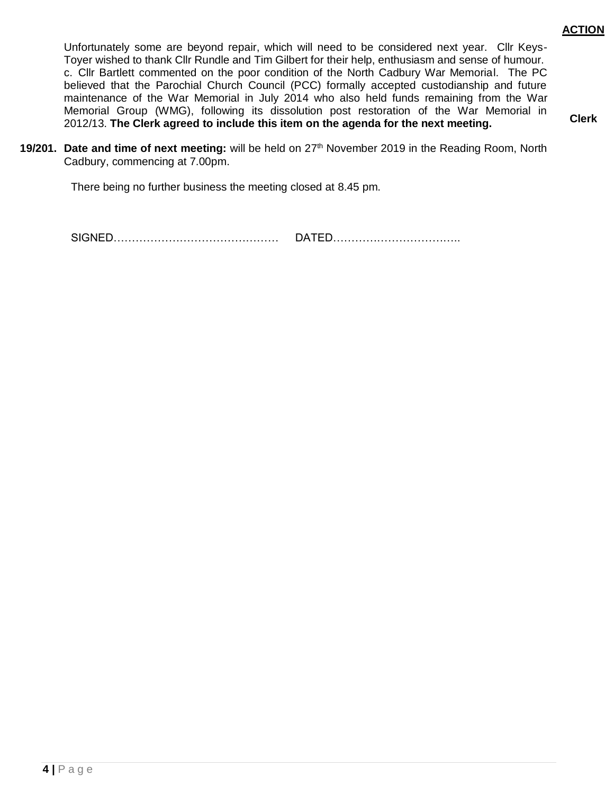Unfortunately some are beyond repair, which will need to be considered next year. Cllr Keys-Toyer wished to thank Cllr Rundle and Tim Gilbert for their help, enthusiasm and sense of humour. c. Cllr Bartlett commented on the poor condition of the North Cadbury War Memorial. The PC believed that the Parochial Church Council (PCC) formally accepted custodianship and future maintenance of the War Memorial in July 2014 who also held funds remaining from the War Memorial Group (WMG), following its dissolution post restoration of the War Memorial in 2012/13. **The Clerk agreed to include this item on the agenda for the next meeting.**

**Clerk**

**19/201. Date and time of next meeting:** will be held on 27 th November 2019 in the Reading Room, North Cadbury, commencing at 7.00pm.

There being no further business the meeting closed at 8.45 pm.

SIGNED……………………………………… DATED……………………………..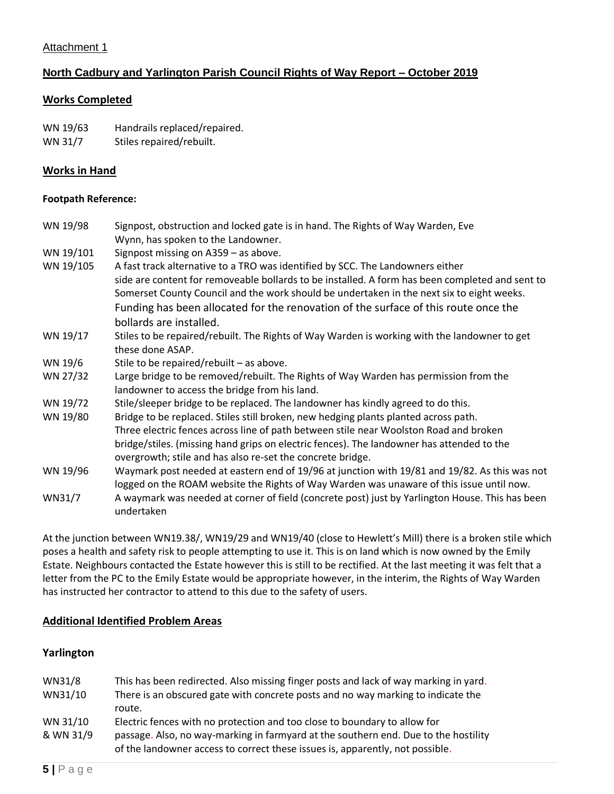### Attachment 1

# **North Cadbury and Yarlington Parish Council Rights of Way Report – October 2019**

### **Works Completed**

| WN 19/63 | Handrails replaced/repaired. |
|----------|------------------------------|
| WN 31/7  | Stiles repaired/rebuilt.     |

### **Works in Hand**

#### **Footpath Reference:**

| WN 19/98  | Signpost, obstruction and locked gate is in hand. The Rights of Way Warden, Eve                               |
|-----------|---------------------------------------------------------------------------------------------------------------|
|           | Wynn, has spoken to the Landowner.                                                                            |
| WN 19/101 | Signpost missing on A359 - as above.                                                                          |
| WN 19/105 | A fast track alternative to a TRO was identified by SCC. The Landowners either                                |
|           | side are content for removeable bollards to be installed. A form has been completed and sent to               |
|           | Somerset County Council and the work should be undertaken in the next six to eight weeks.                     |
|           | Funding has been allocated for the renovation of the surface of this route once the                           |
|           | bollards are installed.                                                                                       |
| WN 19/17  | Stiles to be repaired/rebuilt. The Rights of Way Warden is working with the landowner to get                  |
|           | these done ASAP.                                                                                              |
| WN 19/6   | Stile to be repaired/rebuilt - as above.                                                                      |
| WN 27/32  | Large bridge to be removed/rebuilt. The Rights of Way Warden has permission from the                          |
|           | landowner to access the bridge from his land.                                                                 |
| WN 19/72  | Stile/sleeper bridge to be replaced. The landowner has kindly agreed to do this.                              |
| WN 19/80  | Bridge to be replaced. Stiles still broken, new hedging plants planted across path.                           |
|           | Three electric fences across line of path between stile near Woolston Road and broken                         |
|           | bridge/stiles. (missing hand grips on electric fences). The landowner has attended to the                     |
|           | overgrowth; stile and has also re-set the concrete bridge.                                                    |
| WN 19/96  | Waymark post needed at eastern end of 19/96 at junction with 19/81 and 19/82. As this was not                 |
|           | logged on the ROAM website the Rights of Way Warden was unaware of this issue until now.                      |
| WN31/7    | A waymark was needed at corner of field (concrete post) just by Yarlington House. This has been<br>undertaken |

At the junction between WN19.38/, WN19/29 and WN19/40 (close to Hewlett's Mill) there is a broken stile which poses a health and safety risk to people attempting to use it. This is on land which is now owned by the Emily Estate. Neighbours contacted the Estate however this is still to be rectified. At the last meeting it was felt that a letter from the PC to the Emily Estate would be appropriate however, in the interim, the Rights of Way Warden has instructed her contractor to attend to this due to the safety of users.

#### **Additional Identified Problem Areas**

#### **Yarlington**

| This has been redirected. Also missing finger posts and lack of way marking in yard.                                                                                                                                                              |
|---------------------------------------------------------------------------------------------------------------------------------------------------------------------------------------------------------------------------------------------------|
| There is an obscured gate with concrete posts and no way marking to indicate the<br>route.                                                                                                                                                        |
| Electric fences with no protection and too close to boundary to allow for<br>passage. Also, no way-marking in farmyard at the southern end. Due to the hostility<br>of the landowner access to correct these issues is, apparently, not possible. |
|                                                                                                                                                                                                                                                   |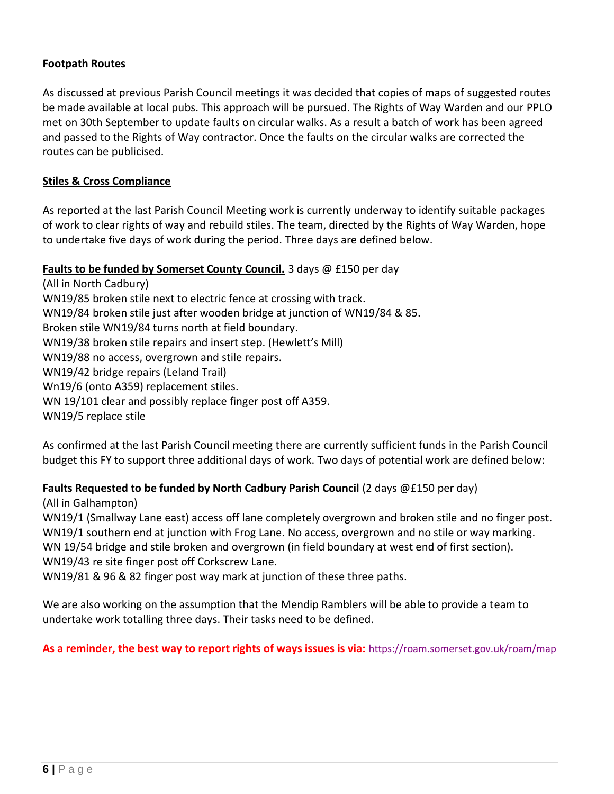# **Footpath Routes**

As discussed at previous Parish Council meetings it was decided that copies of maps of suggested routes be made available at local pubs. This approach will be pursued. The Rights of Way Warden and our PPLO met on 30th September to update faults on circular walks. As a result a batch of work has been agreed and passed to the Rights of Way contractor. Once the faults on the circular walks are corrected the routes can be publicised.

# **Stiles & Cross Compliance**

As reported at the last Parish Council Meeting work is currently underway to identify suitable packages of work to clear rights of way and rebuild stiles. The team, directed by the Rights of Way Warden, hope to undertake five days of work during the period. Three days are defined below.

# **Faults to be funded by Somerset County Council.** 3 days @ £150 per day

(All in North Cadbury) WN19/85 broken stile next to electric fence at crossing with track. WN19/84 broken stile just after wooden bridge at junction of WN19/84 & 85. Broken stile WN19/84 turns north at field boundary. WN19/38 broken stile repairs and insert step. (Hewlett's Mill) WN19/88 no access, overgrown and stile repairs. WN19/42 bridge repairs (Leland Trail) Wn19/6 (onto A359) replacement stiles. WN 19/101 clear and possibly replace finger post off A359. WN19/5 replace stile

As confirmed at the last Parish Council meeting there are currently sufficient funds in the Parish Council budget this FY to support three additional days of work. Two days of potential work are defined below:

# **Faults Requested to be funded by North Cadbury Parish Council** (2 days @£150 per day)

(All in Galhampton)

WN19/1 (Smallway Lane east) access off lane completely overgrown and broken stile and no finger post. WN19/1 southern end at junction with Frog Lane. No access, overgrown and no stile or way marking. WN 19/54 bridge and stile broken and overgrown (in field boundary at west end of first section). WN19/43 re site finger post off Corkscrew Lane.

WN19/81 & 96 & 82 finger post way mark at junction of these three paths.

We are also working on the assumption that the Mendip Ramblers will be able to provide a team to undertake work totalling three days. Their tasks need to be defined.

# **As a reminder, the best way to report rights of ways issues is via:** <https://roam.somerset.gov.uk/roam/map>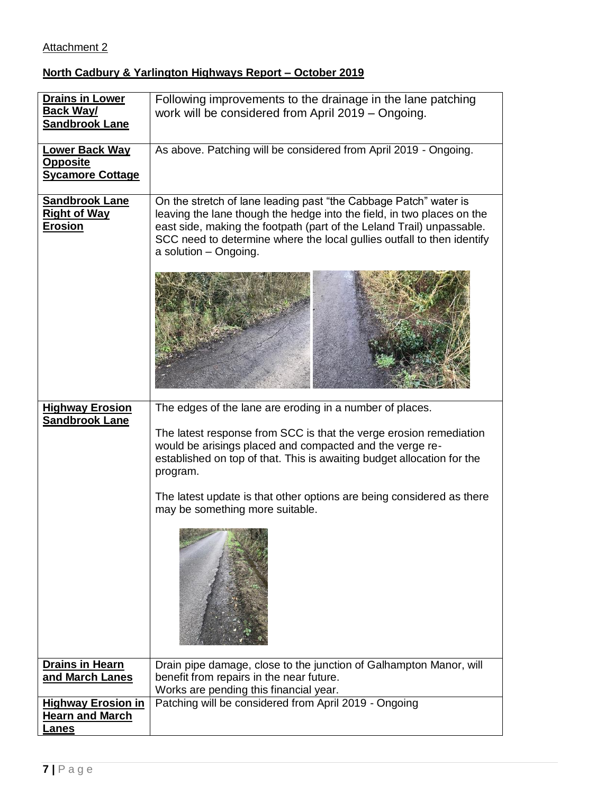# Attachment 2

# **North Cadbury & Yarlington Highways Report – October 2019**

| <b>Lower Back Way</b><br>As above. Patching will be considered from April 2019 - Ongoing.<br><b>Opposite</b><br><b>Sycamore Cottage</b><br><b>Sandbrook Lane</b><br>On the stretch of lane leading past "the Cabbage Patch" water is<br><b>Right of Way</b><br>leaving the lane though the hedge into the field, in two places on the<br>east side, making the footpath (part of the Leland Trail) unpassable.<br><b>Erosion</b><br>SCC need to determine where the local gullies outfall to then identify<br>a solution - Ongoing.<br><b>Highway Erosion</b><br>The edges of the lane are eroding in a number of places.<br><b>Sandbrook Lane</b><br>The latest response from SCC is that the verge erosion remediation<br>would be arisings placed and compacted and the verge re-<br>established on top of that. This is awaiting budget allocation for the<br>program.<br>The latest update is that other options are being considered as there<br>may be something more suitable. | <b>Drains in Lower</b><br><b>Back Way/</b><br><b>Sandbrook Lane</b> | Following improvements to the drainage in the lane patching<br>work will be considered from April 2019 - Ongoing. |
|----------------------------------------------------------------------------------------------------------------------------------------------------------------------------------------------------------------------------------------------------------------------------------------------------------------------------------------------------------------------------------------------------------------------------------------------------------------------------------------------------------------------------------------------------------------------------------------------------------------------------------------------------------------------------------------------------------------------------------------------------------------------------------------------------------------------------------------------------------------------------------------------------------------------------------------------------------------------------------------|---------------------------------------------------------------------|-------------------------------------------------------------------------------------------------------------------|
|                                                                                                                                                                                                                                                                                                                                                                                                                                                                                                                                                                                                                                                                                                                                                                                                                                                                                                                                                                                        |                                                                     |                                                                                                                   |
|                                                                                                                                                                                                                                                                                                                                                                                                                                                                                                                                                                                                                                                                                                                                                                                                                                                                                                                                                                                        |                                                                     |                                                                                                                   |
|                                                                                                                                                                                                                                                                                                                                                                                                                                                                                                                                                                                                                                                                                                                                                                                                                                                                                                                                                                                        |                                                                     |                                                                                                                   |
|                                                                                                                                                                                                                                                                                                                                                                                                                                                                                                                                                                                                                                                                                                                                                                                                                                                                                                                                                                                        |                                                                     |                                                                                                                   |
|                                                                                                                                                                                                                                                                                                                                                                                                                                                                                                                                                                                                                                                                                                                                                                                                                                                                                                                                                                                        |                                                                     |                                                                                                                   |
|                                                                                                                                                                                                                                                                                                                                                                                                                                                                                                                                                                                                                                                                                                                                                                                                                                                                                                                                                                                        |                                                                     |                                                                                                                   |
|                                                                                                                                                                                                                                                                                                                                                                                                                                                                                                                                                                                                                                                                                                                                                                                                                                                                                                                                                                                        |                                                                     |                                                                                                                   |
|                                                                                                                                                                                                                                                                                                                                                                                                                                                                                                                                                                                                                                                                                                                                                                                                                                                                                                                                                                                        | <b>Drains in Hearn</b>                                              | Drain pipe damage, close to the junction of Galhampton Manor, will                                                |
| and March Lanes<br>benefit from repairs in the near future.<br>Works are pending this financial year.                                                                                                                                                                                                                                                                                                                                                                                                                                                                                                                                                                                                                                                                                                                                                                                                                                                                                  |                                                                     |                                                                                                                   |
| Patching will be considered from April 2019 - Ongoing<br><b>Highway Erosion in</b>                                                                                                                                                                                                                                                                                                                                                                                                                                                                                                                                                                                                                                                                                                                                                                                                                                                                                                     |                                                                     |                                                                                                                   |
| <b>Hearn and March</b><br>Lanes                                                                                                                                                                                                                                                                                                                                                                                                                                                                                                                                                                                                                                                                                                                                                                                                                                                                                                                                                        |                                                                     |                                                                                                                   |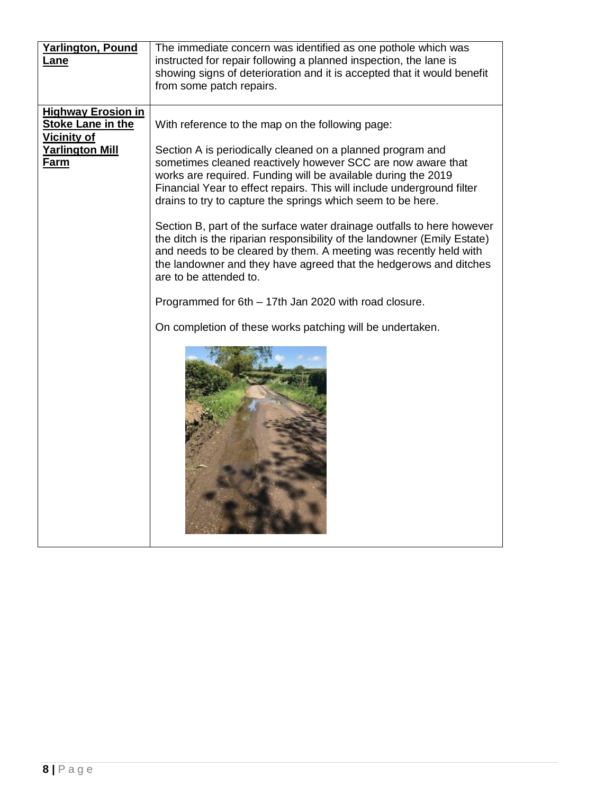| <b>Yarlington, Pound</b><br><b>Lane</b>                                                                       | The immediate concern was identified as one pothole which was<br>instructed for repair following a planned inspection, the lane is<br>showing signs of deterioration and it is accepted that it would benefit<br>from some patch repairs.                                                                                                                                                                                                                                                                                                                                                                                                                                                                                                                                                                                               |
|---------------------------------------------------------------------------------------------------------------|-----------------------------------------------------------------------------------------------------------------------------------------------------------------------------------------------------------------------------------------------------------------------------------------------------------------------------------------------------------------------------------------------------------------------------------------------------------------------------------------------------------------------------------------------------------------------------------------------------------------------------------------------------------------------------------------------------------------------------------------------------------------------------------------------------------------------------------------|
| <b>Highway Erosion in</b><br><b>Stoke Lane in the</b><br>Vicinity of<br><b>Yarlington Mill</b><br><b>Farm</b> | With reference to the map on the following page:<br>Section A is periodically cleaned on a planned program and<br>sometimes cleaned reactively however SCC are now aware that<br>works are required. Funding will be available during the 2019<br>Financial Year to effect repairs. This will include underground filter<br>drains to try to capture the springs which seem to be here.<br>Section B, part of the surface water drainage outfalls to here however<br>the ditch is the riparian responsibility of the landowner (Emily Estate)<br>and needs to be cleared by them. A meeting was recently held with<br>the landowner and they have agreed that the hedgerows and ditches<br>are to be attended to.<br>Programmed for 6th - 17th Jan 2020 with road closure.<br>On completion of these works patching will be undertaken. |